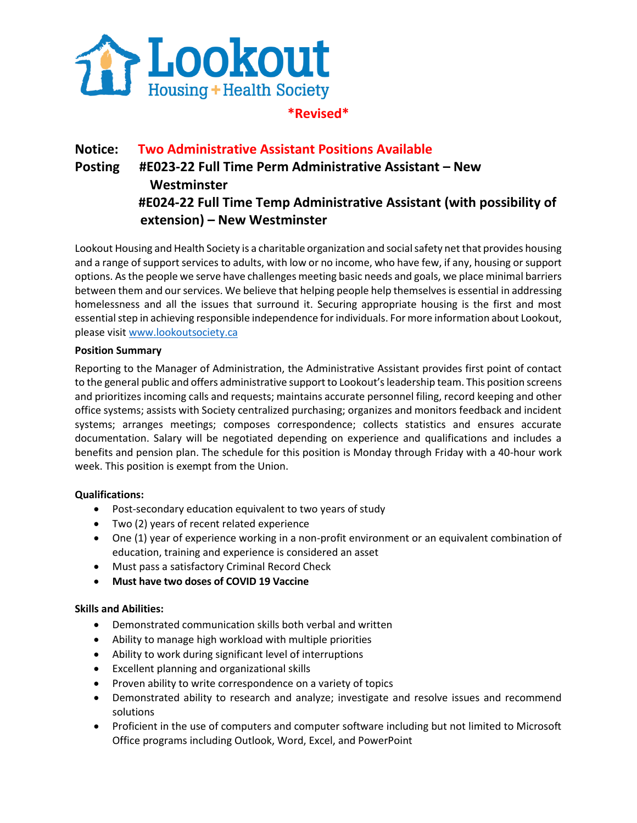

## **\*Revised\***

# **Notice: Two Administrative Assistant Positions Available Posting #E023-22 Full Time Perm Administrative Assistant – New Westminster #E024-22 Full Time Temp Administrative Assistant (with possibility of extension) – New Westminster**

Lookout Housing and Health Society is a charitable organization and social safety net that provides housing and a range of support services to adults, with low or no income, who have few, if any, housing or support options. As the people we serve have challenges meeting basic needs and goals, we place minimal barriers between them and our services. We believe that helping people help themselves is essential in addressing homelessness and all the issues that surround it. Securing appropriate housing is the first and most essential step in achieving responsible independence for individuals. For more information about Lookout, please visit [www.lookoutsociety.ca](http://www.lookoutsociety.ca/) 

#### **Position Summary**

Reporting to the Manager of Administration, the Administrative Assistant provides first point of contact to the general public and offers administrative support to Lookout's leadership team. This position screens and prioritizes incoming calls and requests; maintains accurate personnel filing, record keeping and other office systems; assists with Society centralized purchasing; organizes and monitors feedback and incident systems; arranges meetings; composes correspondence; collects statistics and ensures accurate documentation. Salary will be negotiated depending on experience and qualifications and includes a benefits and pension plan. The schedule for this position is Monday through Friday with a 40-hour work week. This position is exempt from the Union.

#### **Qualifications:**

- Post-secondary education equivalent to two years of study
- Two (2) years of recent related experience
- One (1) year of experience working in a non-profit environment or an equivalent combination of education, training and experience is considered an asset
- Must pass a satisfactory Criminal Record Check
- **Must have two doses of COVID 19 Vaccine**

#### **Skills and Abilities:**

- Demonstrated communication skills both verbal and written
- Ability to manage high workload with multiple priorities
- Ability to work during significant level of interruptions
- Excellent planning and organizational skills
- Proven ability to write correspondence on a variety of topics
- Demonstrated ability to research and analyze; investigate and resolve issues and recommend solutions
- Proficient in the use of computers and computer software including but not limited to Microsoft Office programs including Outlook, Word, Excel, and PowerPoint